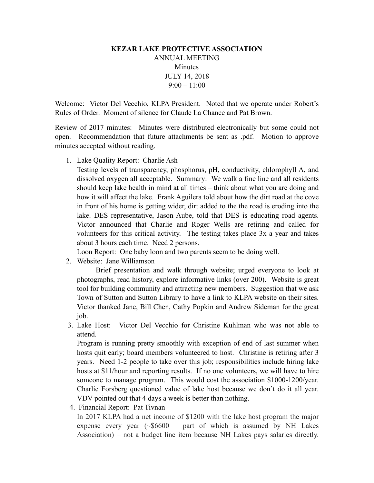## **KEZAR LAKE PROTECTIVE ASSOCIATION**  ANNUAL MEETING Minutes JULY 14, 2018  $9:00 - 11:00$

Welcome: Victor Del Vecchio, KLPA President. Noted that we operate under Robert's Rules of Order. Moment of silence for Claude La Chance and Pat Brown.

Review of 2017 minutes: Minutes were distributed electronically but some could not open. Recommendation that future attachments be sent as .pdf. Motion to approve minutes accepted without reading.

1. Lake Quality Report: Charlie Ash

Testing levels of transparency, phosphorus, pH, conductivity, chlorophyll A, and dissolved oxygen all acceptable. Summary: We walk a fine line and all residents should keep lake health in mind at all times – think about what you are doing and how it will affect the lake. Frank Aguilera told about how the dirt road at the cove in front of his home is getting wider, dirt added to the the road is eroding into the lake. DES representative, Jason Aube, told that DES is educating road agents. Victor announced that Charlie and Roger Wells are retiring and called for volunteers for this critical activity. The testing takes place 3x a year and takes about 3 hours each time. Need 2 persons.

Loon Report: One baby loon and two parents seem to be doing well.

2. Website: Jane Williamson

 Brief presentation and walk through website; urged everyone to look at photographs, read history, explore informative links (over 200). Website is great tool for building community and attracting new members. Suggestion that we ask Town of Sutton and Sutton Library to have a link to KLPA website on their sites. Victor thanked Jane, Bill Chen, Cathy Popkin and Andrew Sideman for the great job.

 3. Lake Host: Victor Del Vecchio for Christine Kuhlman who was not able to attend.

 Program is running pretty smoothly with exception of end of last summer when hosts quit early; board members volunteered to host. Christine is retiring after 3 years. Need 1-2 people to take over this job; responsibilities include hiring lake hosts at \$11/hour and reporting results. If no one volunteers, we will have to hire someone to manage program. This would cost the association \$1000-1200/year. Charlie Forsberg questioned value of lake host because we don't do it all year. VDV pointed out that 4 days a week is better than nothing.

4. Financial Report: Pat Tivnan

In 2017 KLPA had a net income of \$1200 with the lake host program the major expense every year  $(\sim 66600 -$  part of which is assumed by NH Lakes Association) – not a budget line item because NH Lakes pays salaries directly.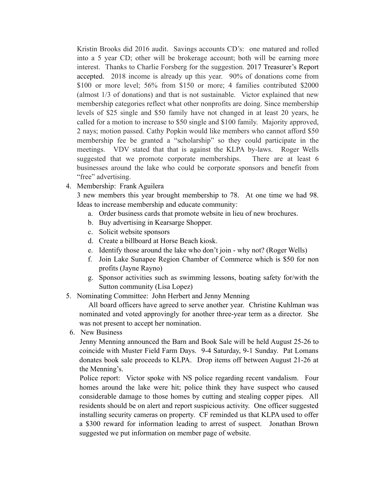Kristin Brooks did 2016 audit. Savings accounts CD's: one matured and rolled into a 5 year CD; other will be brokerage account; both will be earning more interest. Thanks to Charlie Forsberg for the suggestion. 2017 Treasurer's Report accepted. 2018 income is already up this year. 90% of donations come from \$100 or more level; 56% from \$150 or more; 4 families contributed \$2000 (almost 1/3 of donations) and that is not sustainable. Victor explained that new membership categories reflect what other nonprofits are doing. Since membership levels of \$25 single and \$50 family have not changed in at least 20 years, he called for a motion to increase to \$50 single and \$100 family. Majority approved, 2 nays; motion passed. Cathy Popkin would like members who cannot afford \$50 membership fee be granted a "scholarship" so they could participate in the meetings. VDV stated that that is against the KLPA by-laws. Roger Wells suggested that we promote corporate memberships. There are at least 6 businesses around the lake who could be corporate sponsors and benefit from "free" advertising.

4. Membership: Frank Aguilera

3 new members this year brought membership to 78. At one time we had 98. Ideas to increase membership and educate community:

- a. Order business cards that promote website in lieu of new brochures.
- b. Buy advertising in Kearsarge Shopper.
- c. Solicit website sponsors
- d. Create a billboard at Horse Beach kiosk.
- e. Identify those around the lake who don't join why not? (Roger Wells)
- f. Join Lake Sunapee Region Chamber of Commerce which is \$50 for non profits (Jayne Rayno)
- g. Sponsor activities such as swimming lessons, boating safety for/with the Sutton community (Lisa Lopez)
- 5. Nominating Committee: John Herbert and Jenny Menning

 All board officers have agreed to serve another year. Christine Kuhlman was nominated and voted approvingly for another three-year term as a director. She was not present to accept her nomination.

6. New Business

 Jenny Menning announced the Barn and Book Sale will be held August 25-26 to coincide with Muster Field Farm Days. 9-4 Saturday, 9-1 Sunday. Pat Lomans donates book sale proceeds to KLPA. Drop items off between August 21-26 at the Menning's.

 Police report: Victor spoke with NS police regarding recent vandalism. Four homes around the lake were hit; police think they have suspect who caused considerable damage to those homes by cutting and stealing copper pipes. All residents should be on alert and report suspicious activity. One officer suggested installing security cameras on property. CF reminded us that KLPA used to offer a \$300 reward for information leading to arrest of suspect. Jonathan Brown suggested we put information on member page of website.